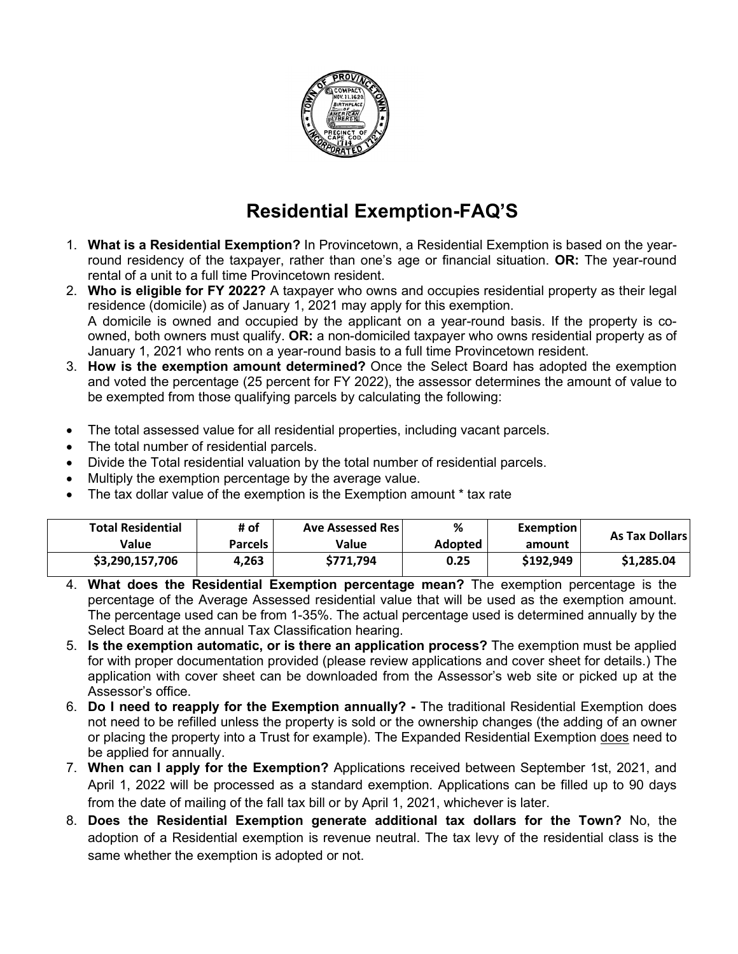

## **Residential Exemption-FAQ'S**

- 1. **What is a Residential Exemption?** In Provincetown, a Residential Exemption is based on the yearround residency of the taxpayer, rather than one's age or financial situation. **OR:** The year-round rental of a unit to a full time Provincetown resident.
- 2. **Who is eligible for FY 2022?** A taxpayer who owns and occupies residential property as their legal residence (domicile) as of January 1, 2021 may apply for this exemption. A domicile is owned and occupied by the applicant on a year-round basis. If the property is coowned, both owners must qualify. **OR:** a non-domiciled taxpayer who owns residential property as of January 1, 2021 who rents on a year-round basis to a full time Provincetown resident.
- 3. **How is the exemption amount determined?** Once the Select Board has adopted the exemption and voted the percentage (25 percent for FY 2022), the assessor determines the amount of value to be exempted from those qualifying parcels by calculating the following:
- The total assessed value for all residential properties, including vacant parcels.
- The total number of residential parcels.
- Divide the Total residential valuation by the total number of residential parcels.
- Multiply the exemption percentage by the average value.
- The tax dollar value of the exemption is the Exemption amount \* tax rate

| <b>Total Residential</b> | # of           | <b>Ave Assessed Res</b> | %              | <b>Exemption</b> | <b>As Tax Dollars</b> |  |
|--------------------------|----------------|-------------------------|----------------|------------------|-----------------------|--|
| Value                    | <b>Parcels</b> | Value                   | <b>Adopted</b> | amount           |                       |  |
| \$3,290,157,706          | 4.263          | \$771.794               | 0.25           | \$192.949        | \$1,285.04            |  |

- 4. **What does the Residential Exemption percentage mean?** The exemption percentage is the percentage of the Average Assessed residential value that will be used as the exemption amount. The percentage used can be from 1-35%. The actual percentage used is determined annually by the Select Board at the annual Tax Classification hearing.
- 5. **Is the exemption automatic, or is there an application process?** The exemption must be applied for with proper documentation provided (please review applications and cover sheet for details.) The application with cover sheet can be downloaded from the Assessor's web site or picked up at the Assessor's office.
- 6. **Do I need to reapply for the Exemption annually? -** The traditional Residential Exemption does not need to be refilled unless the property is sold or the ownership changes (the adding of an owner or placing the property into a Trust for example). The Expanded Residential Exemption does need to be applied for annually.
- 7. **When can I apply for the Exemption?** Applications received between September 1st, 2021, and April 1, 2022 will be processed as a standard exemption. Applications can be filled up to 90 days from the date of mailing of the fall tax bill or by April 1, 2021, whichever is later.
- 8. **Does the Residential Exemption generate additional tax dollars for the Town?** No, the adoption of a Residential exemption is revenue neutral. The tax levy of the residential class is the same whether the exemption is adopted or not.